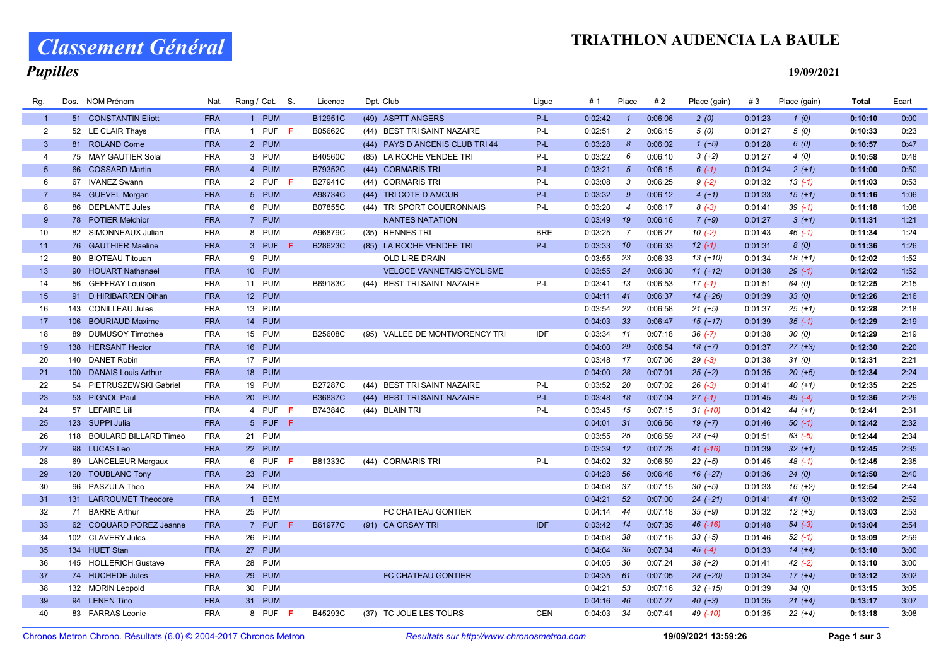### TRIATHLON AUDENCIA LA BAULE

# Classement Général

## **Pupilles**

19/09/2021

| Rg.            | Dos. | NOM Prénom                | Nat.       | Rang / Cat. S. | Licence | Dpt. Club |                                  | Ligue      | # 1     | Place                 | #2      | Place (gain) | #3      | Place (gain) | <b>Total</b> | Ecart |
|----------------|------|---------------------------|------------|----------------|---------|-----------|----------------------------------|------------|---------|-----------------------|---------|--------------|---------|--------------|--------------|-------|
| $\overline{1}$ |      | 51 CONSTANTIN Eliott      | <b>FRA</b> | 1 PUM          | B12951C |           | (49) ASPTT ANGERS                | P-L        | 0:02:42 | $\mathbf{1}$          | 0:06:06 | 2(0)         | 0:01:23 | 1(0)         | 0:10:10      | 0:00  |
| 2              |      | 52 LE CLAIR Thays         | <b>FRA</b> | 1 PUF $F$      | B05662C |           | (44) BEST TRI SAINT NAZAIRE      | $P-L$      | 0:02:51 | $\overline{c}$        | 0:06:15 | 5(0)         | 0:01:27 | 5(0)         | 0:10:33      | 0:23  |
| $\mathbf{3}$   |      | 81 ROLAND Come            | <b>FRA</b> | 2 PUM          |         |           | (44) PAYS D ANCENIS CLUB TRI 44  | P-L        | 0:03:28 | $\boldsymbol{\delta}$ | 0:06:02 | $1 (+5)$     | 0:01:28 | 6(0)         | 0:10:57      | 0:47  |
| $\overline{4}$ |      | 75 MAY GAUTIER Solal      | <b>FRA</b> | 3 PUM          | B40560C |           | (85) LA ROCHE VENDEE TRI         | P-L        | 0:03:22 | 6                     | 0:06:10 | $3(+2)$      | 0:01:27 | 4(0)         | 0:10:58      | 0:48  |
| 5 <sup>5</sup> |      | 66 COSSARD Martin         | <b>FRA</b> | 4 PUM          | B79352C |           | (44) CORMARIS TRI                | P-L        | 0:03:21 | $5\overline{5}$       | 0:06:15 | $6(-1)$      | 0:01:24 | $2(+1)$      | 0:11:00      | 0:50  |
| 6              |      | 67 IVANEZ Swann           | <b>FRA</b> | 2 PUF F        | B27941C |           | (44) CORMARIS TRI                | P-L        | 0:03:08 | 3                     | 0:06:25 | $9(-2)$      | 0:01:32 | $13( -1)$    | 0:11:03      | 0:53  |
| $\overline{7}$ |      | 84 GUEVEL Morgan          | <b>FRA</b> | 5 PUM          | A98734C |           | (44) TRI COTE D AMOUR            | P-L        | 0:03:32 | 9                     | 0:06:12 | $4(+1)$      | 0:01:33 | $15(+1)$     | 0:11:16      | 1:06  |
| 8              | 86   | <b>DEPLANTE Jules</b>     | <b>FRA</b> | 6 PUM          | B07855C |           | (44) TRI SPORT COUERONNAIS       | P-L        | 0:03:20 | $\overline{4}$        | 0:06:17 | $8(-3)$      | 0:01:41 | $39(-1)$     | 0:11:18      | 1:08  |
| 9              |      | 78 POTIER Melchior        | <b>FRA</b> | 7 PUM          |         |           | <b>NANTES NATATION</b>           |            | 0:03:49 | 19                    | 0:06:16 | $7 (+9)$     | 0:01:27 | $3(+1)$      | 0:11:31      | 1:21  |
| 10             |      | 82 SIMONNEAUX Julian      | <b>FRA</b> | 8 PUM          | A96879C |           | (35) RENNES TRI                  | <b>BRE</b> | 0:03:25 | $\overline{7}$        | 0:06:27 | $10(-2)$     | 0:01:43 | $46$ $(-1)$  | 0:11:34      | 1:24  |
| 11             |      | 76 GAUTHIER Maeline       | <b>FRA</b> | 3 PUF<br>-F    | B28623C |           | (85) LA ROCHE VENDEE TRI         | P-L        | 0:03:33 | 10                    | 0:06:33 | $12(-1)$     | 0:01:31 | 8(0)         | 0:11:36      | 1:26  |
| 12             |      | 80 BIOTEAU Titouan        | <b>FRA</b> | 9 PUM          |         |           | OLD LIRE DRAIN                   |            | 0:03:55 | 23                    | 0:06:33 | $13(+10)$    | 0:01:34 | $18(+1)$     | 0:12:02      | 1:52  |
| 13             |      | 90 HOUART Nathanael       | <b>FRA</b> | 10 PUM         |         |           | <b>VELOCE VANNETAIS CYCLISME</b> |            | 0:03:55 | 24                    | 0:06:30 | $11 (+12)$   | 0:01:38 | $29(-1)$     | 0:12:02      | 1:52  |
| 14             | 56   | <b>GEFFRAY Louison</b>    | <b>FRA</b> | 11 PUM         | B69183C | (44)      | <b>BEST TRI SAINT NAZAIRE</b>    | P-L        | 0:03:41 | 13                    | 0:06:53 | $17(-1)$     | 0:01:51 | 64 (0)       | 0:12:25      | 2:15  |
| 15             |      | 91 D HIRIBARREN Oihan     | <b>FRA</b> | 12 PUM         |         |           |                                  |            | 0:04:11 | $-41$                 | 0:06:37 | $14 (+26)$   | 0:01:39 | 33(0)        | 0:12:26      | 2:16  |
| 16             | 143  | <b>CONILLEAU Jules</b>    | <b>FRA</b> | 13 PUM         |         |           |                                  |            | 0:03:54 | 22                    | 0:06:58 | $21 (+5)$    | 0:01:37 | $25 (+1)$    | 0:12:28      | 2:18  |
| 17             |      | 106 BOURIAUD Maxime       | <b>FRA</b> | 14 PUM         |         |           |                                  |            | 0:04:03 | 33                    | 0:06:47 | $15(+17)$    | 0:01:39 | $35(-1)$     | 0:12:29      | 2:19  |
| 18             | 89   | <b>DUMUSOY Timothee</b>   | <b>FRA</b> | 15 PUM         | B25608C |           | (95) VALLEE DE MONTMORENCY TRI   | IDF        | 0:03:34 | 11                    | 0:07:18 | $36(-7)$     | 0:01:38 | 30(0)        | 0:12:29      | 2:19  |
| 19             |      | 138 HERSANT Hector        | <b>FRA</b> | 16 PUM         |         |           |                                  |            | 0:04:00 | 29                    | 0:06:54 | $18(+7)$     | 0:01:37 | $27 (+3)$    | 0:12:30      | 2:20  |
| 20             |      | 140 DANET Robin           | <b>FRA</b> | 17 PUM         |         |           |                                  |            | 0:03:48 | 17                    | 0:07:06 | $29(-3)$     | 0:01:38 | 31(0)        | 0:12:31      | 2:21  |
| 21             |      | 100 DANAIS Louis Arthur   | <b>FRA</b> | 18 PUM         |         |           |                                  |            | 0:04:00 | 28                    | 0:07:01 | $25 (+2)$    | 0:01:35 | $20 (+5)$    | 0:12:34      | 2:24  |
| 22             |      | 54 PIETRUSZEWSKI Gabriel  | <b>FRA</b> | 19 PUM         | B27287C |           | (44) BEST TRI SAINT NAZAIRE      | P-L        | 0:03:52 | 20                    | 0:07:02 | $26(-3)$     | 0:01:41 | $40 (+1)$    | 0:12:35      | 2:25  |
| 23             |      | 53 PIGNOL Paul            | <b>FRA</b> | 20 PUM         | B36837C |           | (44) BEST TRI SAINT NAZAIRE      | $P-L$      | 0:03:48 | 18                    | 0:07:04 | $27(-1)$     | 0:01:45 | $49(-4)$     | 0:12:36      | 2:26  |
| 24             |      | 57 LEFAIRE Lili           | <b>FRA</b> | 4 PUF F        | B74384C |           | (44) BLAIN TRI                   | P-L        | 0:03:45 | 15                    | 0:07:15 | $31$ (-10)   | 0:01:42 | $44 (+1)$    | 0:12:41      | 2:31  |
| 25             |      | 123 SUPPI Julia           | <b>FRA</b> | 5 PUF F        |         |           |                                  |            | 0:04:01 | 31                    | 0:06:56 | $19(+7)$     | 0:01:46 | $50(-1)$     | 0:12:42      | 2:32  |
| 26             |      | 118 BOULARD BILLARD Timeo | <b>FRA</b> | 21 PUM         |         |           |                                  |            | 0:03:55 | 25                    | 0:06:59 | $23 (+4)$    | 0:01:51 | $63$ $(-5)$  | 0:12:44      | 2:34  |
| 27             |      | 98 LUCAS Leo              | <b>FRA</b> | 22 PUM         |         |           |                                  |            | 0:03:39 | 12                    | 0:07:28 | $41 (-16)$   | 0:01:39 | $32 (+1)$    | 0:12:45      | 2:35  |
| 28             |      | 69 LANCELEUR Margaux      | <b>FRA</b> | 6 PUF<br>-F    | B81333C |           | (44) CORMARIS TRI                | P-L        | 0:04:02 | 32                    | 0:06:59 | $22 (+5)$    | 0:01:45 | $48$ (-1)    | 0:12:45      | 2:35  |
| 29             |      | 120 TOUBLANC Tony         | <b>FRA</b> | 23 PUM         |         |           |                                  |            | 0:04:28 | 56                    | 0:06:48 | $16 (+27)$   | 0:01:36 | 24(0)        | 0:12:50      | 2:40  |
| 30             |      | 96 PASZULA Theo           | <b>FRA</b> | 24 PUM         |         |           |                                  |            | 0:04:08 | 37                    | 0:07:15 | $30 (+5)$    | 0:01:33 | $16 (+2)$    | 0:12:54      | 2:44  |
| 31             |      | 131 LARROUMET Theodore    | <b>FRA</b> | 1 BEM          |         |           |                                  |            | 0:04:21 | 52                    | 0:07:00 | $24 (+21)$   | 0:01:41 | 41(0)        | 0:13:02      | 2:52  |
| 32             |      | 71 BARRE Arthur           | <b>FRA</b> | 25 PUM         |         |           | FC CHATEAU GONTIER               |            | 0:04:14 | 44                    | 0:07:18 | $35 (+9)$    | 0:01:32 | $12 (+3)$    | 0:13:03      | 2:53  |
| 33             |      | 62 COQUARD POREZ Jeanne   | <b>FRA</b> | 7 PUF<br>-F.   | B61977C |           | (91) CA ORSAY TRI                | <b>IDF</b> | 0:03:42 | 14                    | 0:07:35 | 46 (-16)     | 0:01:48 | $54 (-3)$    | 0:13:04      | 2:54  |
| 34             |      | 102 CLAVERY Jules         | <b>FRA</b> | 26 PUM         |         |           |                                  |            | 0:04:08 | 38                    | 0:07:16 | $33 (+5)$    | 0:01:46 | $52(-1)$     | 0:13:09      | 2:59  |
| 35             |      | 134 HUET Stan             | <b>FRA</b> | 27 PUM         |         |           |                                  |            | 0:04:04 | 35                    | 0:07:34 | $45(-4)$     | 0:01:33 | $14 (+4)$    | 0:13:10      | 3:00  |
| 36             |      | 145 HOLLERICH Gustave     | <b>FRA</b> | 28 PUM         |         |           |                                  |            | 0:04:05 | 36                    | 0:07:24 | $38 (+2)$    | 0:01:41 | $42(-2)$     | 0:13:10      | 3:00  |
| 37             |      | 74 HUCHEDE Jules          | <b>FRA</b> | 29 PUM         |         |           | <b>FC CHATEAU GONTIER</b>        |            | 0:04:35 | 61                    | 0:07:05 | 28 (+20)     | 0:01:34 | $17(+4)$     | 0:13:12      | 3:02  |
| 38             |      | 132 MORIN Leopold         | <b>FRA</b> | 30 PUM         |         |           |                                  |            | 0:04:21 | 53                    | 0:07:16 | $32 (+15)$   | 0:01:39 | 34(0)        | 0:13:15      | 3:05  |
| 39             |      | 94 LENEN Tino             | <b>FRA</b> | 31 PUM         |         |           |                                  |            | 0:04:16 | 46                    | 0:07:27 | $40 (+3)$    | 0:01:35 | $21 (+4)$    | 0:13:17      | 3:07  |
| 40             |      | 83 FARRAS Leonie          | <b>FRA</b> | 8 PUF F        | B45293C |           | (37) TC JOUE LES TOURS           | <b>CEN</b> | 0:04:03 | 34                    | 0:07:41 | 49 (-10)     | 0:01:35 | $22 (+4)$    | 0:13:18      | 3:08  |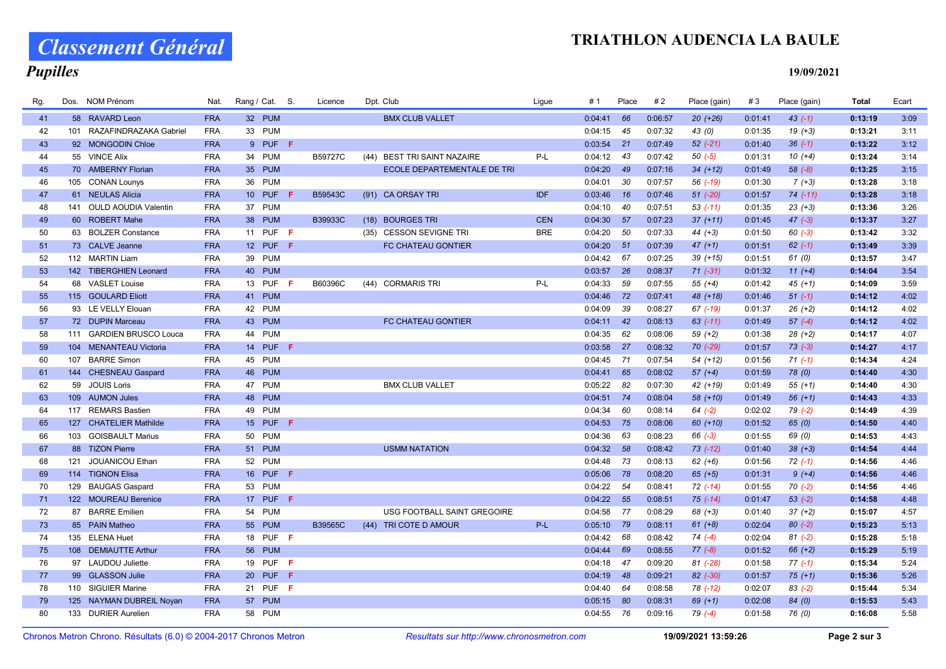### TRIATHLON AUDENCIA LA BAULE

# Classement Général

## **Pupilles**

19/09/2021

| Rg. |     | Dos. NOM Prénom            | Nat.       | Rang / Cat. S.  |     | Licence | Dpt. Club                             | Ligue      | #1      | Place     | #2      | Place (gain) | #3      | Place (gain) | <b>Total</b> | Ecart |
|-----|-----|----------------------------|------------|-----------------|-----|---------|---------------------------------------|------------|---------|-----------|---------|--------------|---------|--------------|--------------|-------|
| 41  |     | 58 RAVARD Leon             | <b>FRA</b> | 32 PUM          |     |         | <b>BMX CLUB VALLET</b>                |            | 0:04:41 | 66        | 0:06:57 | $20(+26)$    | 0:01:41 | $43(-1)$     | 0:13:19      | 3:09  |
| 42  |     | 101 RAZAFINDRAZAKA Gabriel | <b>FRA</b> | 33 PUM          |     |         |                                       |            | 0:04:15 | 45        | 0:07:32 | 43 (0)       | 0:01:35 | $19 (+3)$    | 0:13:21      | 3:11  |
| 43  |     | 92 MONGODIN Chloe          | <b>FRA</b> | 9 PUF           | -F. |         |                                       |            | 0:03:54 | 21        | 0:07:49 | $52$ $(-21)$ | 0:01:40 | $36(-1)$     | 0:13:22      | 3:12  |
| 44  |     | 55 VINCE Alix              | <b>FRA</b> | 34 PUM          |     | B59727C | <b>BEST TRI SAINT NAZAIRE</b><br>(44) | P-L        | 0:04:12 | - 43      | 0:07:42 | $50( -5)$    | 0:01:31 | $10(+4)$     | 0:13:24      | 3:14  |
| 45  |     | 70 AMBERNY Florian         | <b>FRA</b> | 35 PUM          |     |         | ECOLE DEPARTEMENTALE DE TRI           |            | 0:04:20 | 49        | 0:07:16 | $34 (+12)$   | 0:01:49 | $58 (-8)$    | 0:13:25      | 3:15  |
| 46  |     | 105 CONAN Lounys           | <b>FRA</b> | 36 PUM          |     |         |                                       |            | 0:04:01 | 30        | 0:07:57 | 56 (-19)     | 0:01:30 | $7 (+3)$     | 0:13:28      | 3:18  |
| 47  |     | 61 NEULAS Alicia           | <b>FRA</b> | <b>10 PUF</b>   | -F  | B59543C | (91) CA ORSAY TRI                     | <b>IDF</b> | 0:03:46 | <b>16</b> | 0:07:46 | $51$ $(-20)$ | 0:01:57 | $74$ (-11)   | 0:13:28      | 3:18  |
| 48  |     | 141 OULD AOUDIA Valentin   | <b>FRA</b> | 37 PUM          |     |         |                                       |            | 0:04:10 | 40        | 0:07:51 | $53$ (-11)   | 0:01:35 | $23(+3)$     | 0:13:36      | 3:26  |
| 49  |     | 60 ROBERT Mahe             | <b>FRA</b> | 38 PUM          |     | B39933C | (18) BOURGES TRI                      | <b>CEN</b> | 0:04:30 | 57        | 0:07:23 | $37 (+11)$   | 0:01:45 | $47 (-3)$    | 0:13:37      | 3:27  |
| 50  |     | 63 BOLZER Constance        | <b>FRA</b> | 11 PUF <b>F</b> |     |         | (35) CESSON SEVIGNE TRI               | <b>BRE</b> | 0:04:20 | 50        | 0:07:33 | $44 (+3)$    | 0:01:50 | $60 (-3)$    | 0:13:42      | 3:32  |
| 51  |     | 73 CALVE Jeanne            | <b>FRA</b> | 12 PUF $F$      |     |         | FC CHATEAU GONTIER                    |            | 0:04:20 | 51        | 0:07:39 | $47 (+1)$    | 0:01:51 | $62 (-1)$    | 0:13:49      | 3:39  |
| 52  |     | 112 MARTIN Liam            | <b>FRA</b> | 39 PUM          |     |         |                                       |            | 0:04:42 | 67        | 0:07:25 | $39 (+15)$   | 0:01:51 | 61(0)        | 0:13:57      | 3:47  |
| 53  |     | 142 TIBERGHIEN Leonard     | <b>FRA</b> | 40 PUM          |     |         |                                       |            | 0:03:57 | 26        | 0:08:37 | $71(-31)$    | 0:01:32 | $11 (+4)$    | 0:14:04      | 3:54  |
| 54  |     | 68 VASLET Louise           | <b>FRA</b> | 13 PUF <b>F</b> |     | B60396C | (44) CORMARIS TRI                     | P-L        | 0:04:33 | 59        | 0:07:55 | $55 (+4)$    | 0:01:42 | $45 (+1)$    | 0:14:09      | 3:59  |
| 55  |     | 115 GOULARD Eliott         | <b>FRA</b> | 41 PUM          |     |         |                                       |            | 0:04:46 | 72        | 0:07:41 | 48 (+18)     | 0:01:46 | $51(-1)$     | 0:14:12      | 4:02  |
| 56  |     | 93 LE VELLY Elouan         | <b>FRA</b> | 42 PUM          |     |         |                                       |            | 0:04:09 | 39        | 0:08:27 | 67 (-19)     | 0:01:37 | $26 (+2)$    | 0:14:12      | 4:02  |
| 57  |     | 72 DUPIN Marceau           | <b>FRA</b> | 43 PUM          |     |         | FC CHATEAU GONTIER                    |            | 0:04:11 | 42        | 0:08:13 | $63$ $(-11)$ | 0:01:49 | $57(-4)$     | 0:14:12      | 4:02  |
| 58  |     | 111 GARDIEN BRUSCO Louca   | <b>FRA</b> | 44 PUM          |     |         |                                       |            | 0:04:35 | 62        | 0:08:06 | $59 (+2)$    | 0:01:38 | $28 (+2)$    | 0:14:17      | 4:07  |
| 59  |     | 104 MENANTEAU Victoria     | <b>FRA</b> | 14 PUF <b>F</b> |     |         |                                       |            | 0:03:58 | 27        | 0:08:32 | 70 (-29)     | 0:01:57 | $73(-3)$     | 0:14:27      | 4:17  |
| 60  | 107 | <b>BARRE Simon</b>         | <b>FRA</b> | 45 PUM          |     |         |                                       |            | 0:04:45 | 71        | 0:07:54 | 54 (+12)     | 0:01:56 | $71(-1)$     | 0:14:34      | 4:24  |
| 61  |     | 144 CHESNEAU Gaspard       | <b>FRA</b> | 46 PUM          |     |         |                                       |            | 0:04:41 | 65        | 0:08:02 | $57 (+4)$    | 0:01:59 | 78 (0)       | 0:14:40      | 4:30  |
| 62  | 59  | <b>JOUIS Loris</b>         | <b>FRA</b> | 47 PUM          |     |         | <b>BMX CLUB VALLET</b>                |            | 0:05:22 | 82        | 0:07:30 | 42 (+19)     | 0:01:49 | $55 (+1)$    | 0:14:40      | 4:30  |
| 63  |     | 109 AUMON Jules            | <b>FRA</b> | 48 PUM          |     |         |                                       |            | 0:04:51 | 74        | 0:08:04 | 58 (+10)     | 0:01:49 | $56 (+1)$    | 0:14:43      | 4:33  |
| 64  | 117 | <b>REMARS Bastien</b>      | <b>FRA</b> | 49 PUM          |     |         |                                       |            | 0:04:34 | 60        | 0:08:14 | $64 (-2)$    | 0:02:02 | $79(-2)$     | 0:14:49      | 4:39  |
| 65  |     | 127 CHATELIER Mathilde     | <b>FRA</b> | 15 PUF F        |     |         |                                       |            | 0:04:53 | 75        | 0:08:06 | $60 (+10)$   | 0:01:52 | 65(0)        | 0:14:50      | 4:40  |
| 66  |     | 103 GOISBAULT Marius       | <b>FRA</b> | 50 PUM          |     |         |                                       |            | 0:04:36 | 63        | 0:08:23 | $66 (-3)$    | 0:01:55 | 69 (0)       | 0:14:53      | 4:43  |
| 67  |     | 88 TIZON Pierre            | <b>FRA</b> | 51 PUM          |     |         | <b>USMM NATATION</b>                  |            | 0:04:32 | 58        | 0:08:42 | $73$ $(-12)$ | 0:01:40 | $38 (+3)$    | 0:14:54      | 4:44  |
| 68  | 121 | JOUANICOU Ethan            | <b>FRA</b> | 52 PUM          |     |         |                                       |            | 0:04:48 | 73        | 0:08:13 | $62 (+6)$    | 0:01:56 | $72( -1)$    | 0:14:56      | 4:46  |
| 69  |     | 114 TIGNON Elisa           | <b>FRA</b> | 16 PUF F        |     |         |                                       |            | 0:05:06 | 78        | 0:08:20 | $65 (+5)$    | 0:01:31 | $9 (+4)$     | 0:14:56      | 4:46  |
| 70  |     | 129 BAUGAS Gaspard         | <b>FRA</b> | 53 PUM          |     |         |                                       |            | 0:04:22 | 54        | 0:08:41 | $72$ (-14)   | 0:01:55 | $70(-2)$     | 0:14:56      | 4:46  |
| 71  |     | 122 MOUREAU Berenice       | <b>FRA</b> | 17 PUF F        |     |         |                                       |            | 0:04:22 | 55        | 0:08:51 | $75$ $(-14)$ | 0:01:47 | $53(-2)$     | 0:14:58      | 4:48  |
| 72  |     | 87 BARRE Emilien           | <b>FRA</b> | 54 PUM          |     |         | USG FOOTBALL SAINT GREGOIRE           |            | 0:04:58 | 77        | 0:08:29 | $68 (+3)$    | 0:01:40 | $37 (+2)$    | 0:15:07      | 4:57  |
| 73  |     | 85 PAIN Matheo             | <b>FRA</b> | <b>55 PUM</b>   |     | B39565C | (44) TRI COTE D AMOUR                 | P-L        | 0:05:10 | - 79      | 0:08:11 | $61 (+8)$    | 0:02:04 | $80(-2)$     | 0:15:23      | 5:13  |
| 74  |     | 135 ELENA Huet             | <b>FRA</b> | 18 PUF F        |     |         |                                       |            | 0:04:42 | 68        | 0:08:42 | $74(-4)$     | 0:02:04 | $81 (-2)$    | 0:15:28      | 5:18  |
| 75  |     | 108 DEMIAUTTE Arthur       | <b>FRA</b> | <b>56 PUM</b>   |     |         |                                       |            | 0:04:44 | 69        | 0:08:55 | $77(-8)$     | 0:01:52 | $66 (+2)$    | 0:15:29      | 5:19  |
| 76  |     | 97 LAUDOU Juliette         | <b>FRA</b> | 19 PUF <b>F</b> |     |         |                                       |            | 0:04:18 | 47        | 0:09:20 | $81 (-28)$   | 0:01:58 | $77(-1)$     | 0:15:34      | 5:24  |
| 77  |     | 99 GLASSON Julie           | <b>FRA</b> | <b>20 PUF</b>   | -F  |         |                                       |            | 0:04:19 | 48        | 0:09:21 | 82 (-30)     | 0:01:57 | $75 (+1)$    | 0:15:36      | 5:26  |
| 78  |     | 110 SIGUIER Marine         | <b>FRA</b> | 21 PUF <b>F</b> |     |         |                                       |            | 0:04:40 | 64        | 0:08:58 | 78 (-12)     | 0:02:07 | $83(-2)$     | 0:15:44      | 5:34  |
| 79  |     | 125 NAYMAN DUBREIL Noyan   | <b>FRA</b> | 57 PUM          |     |         |                                       |            | 0:05:15 | 80        | 0:08:31 | $69 (+1)$    | 0:02:08 | 84 (0)       | 0:15:53      | 5:43  |
| 80  |     | 133 DURIER Aurelien        | <b>FRA</b> | 58 PUM          |     |         |                                       |            | 0:04:55 | 76        | 0:09:16 | $79(-4)$     | 0:01:58 | 76 (0)       | 0:16:08      | 5:58  |